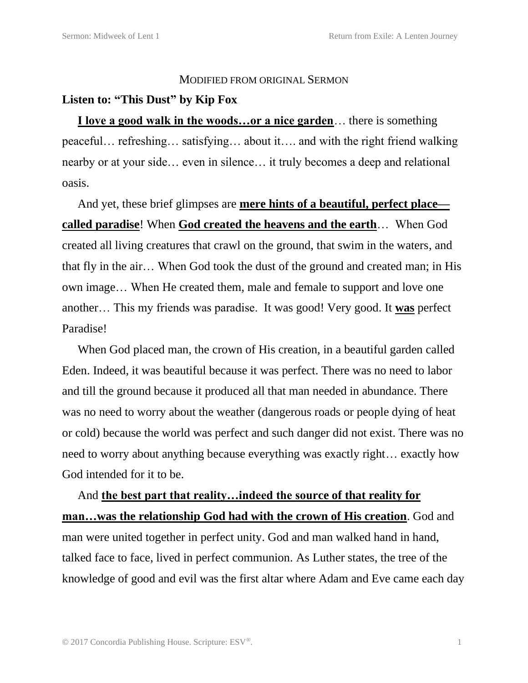## MODIFIED FROM ORIGINAL SERMON

## **Listen to: "This Dust" by Kip Fox**

**I love a good walk in the woods…or a nice garden**… there is something peaceful… refreshing… satisfying… about it…. and with the right friend walking nearby or at your side… even in silence… it truly becomes a deep and relational oasis.

And yet, these brief glimpses are **mere hints of a beautiful, perfect place called paradise**! When **God created the heavens and the earth**… When God created all living creatures that crawl on the ground, that swim in the waters, and that fly in the air… When God took the dust of the ground and created man; in His own image… When He created them, male and female to support and love one another… This my friends was paradise. It was good! Very good. It **was** perfect Paradise!

When God placed man, the crown of His creation, in a beautiful garden called Eden. Indeed, it was beautiful because it was perfect. There was no need to labor and till the ground because it produced all that man needed in abundance. There was no need to worry about the weather (dangerous roads or people dying of heat or cold) because the world was perfect and such danger did not exist. There was no need to worry about anything because everything was exactly right… exactly how God intended for it to be.

And **the best part that reality…indeed the source of that reality for man…was the relationship God had with the crown of His creation**. God and man were united together in perfect unity. God and man walked hand in hand, talked face to face, lived in perfect communion. As Luther states, the tree of the knowledge of good and evil was the first altar where Adam and Eve came each day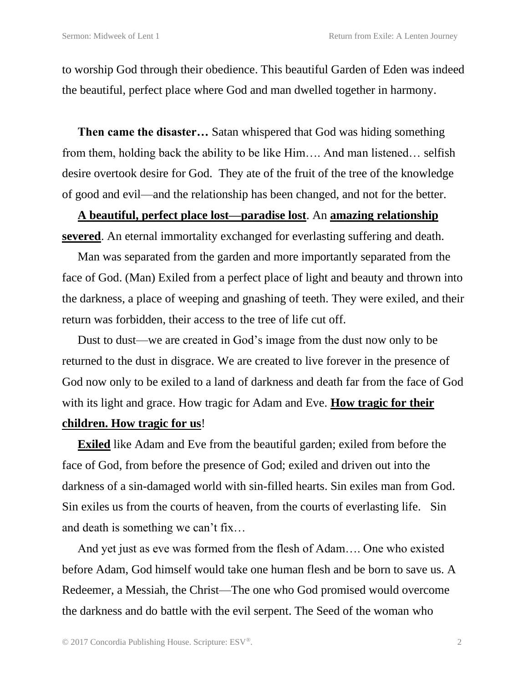to worship God through their obedience. This beautiful Garden of Eden was indeed the beautiful, perfect place where God and man dwelled together in harmony.

**Then came the disaster…** Satan whispered that God was hiding something from them, holding back the ability to be like Him…. And man listened… selfish desire overtook desire for God. They ate of the fruit of the tree of the knowledge of good and evil—and the relationship has been changed, and not for the better.

## **A beautiful, perfect place lost—paradise lost**. An **amazing relationship severed**. An eternal immortality exchanged for everlasting suffering and death.

Man was separated from the garden and more importantly separated from the face of God. (Man) Exiled from a perfect place of light and beauty and thrown into the darkness, a place of weeping and gnashing of teeth. They were exiled, and their return was forbidden, their access to the tree of life cut off.

Dust to dust—we are created in God's image from the dust now only to be returned to the dust in disgrace. We are created to live forever in the presence of God now only to be exiled to a land of darkness and death far from the face of God with its light and grace. How tragic for Adam and Eve. **How tragic for their children. How tragic for us**!

**Exiled** like Adam and Eve from the beautiful garden; exiled from before the face of God, from before the presence of God; exiled and driven out into the darkness of a sin-damaged world with sin-filled hearts. Sin exiles man from God. Sin exiles us from the courts of heaven, from the courts of everlasting life. Sin and death is something we can't fix…

And yet just as eve was formed from the flesh of Adam…. One who existed before Adam, God himself would take one human flesh and be born to save us. A Redeemer, a Messiah, the Christ—The one who God promised would overcome the darkness and do battle with the evil serpent. The Seed of the woman who